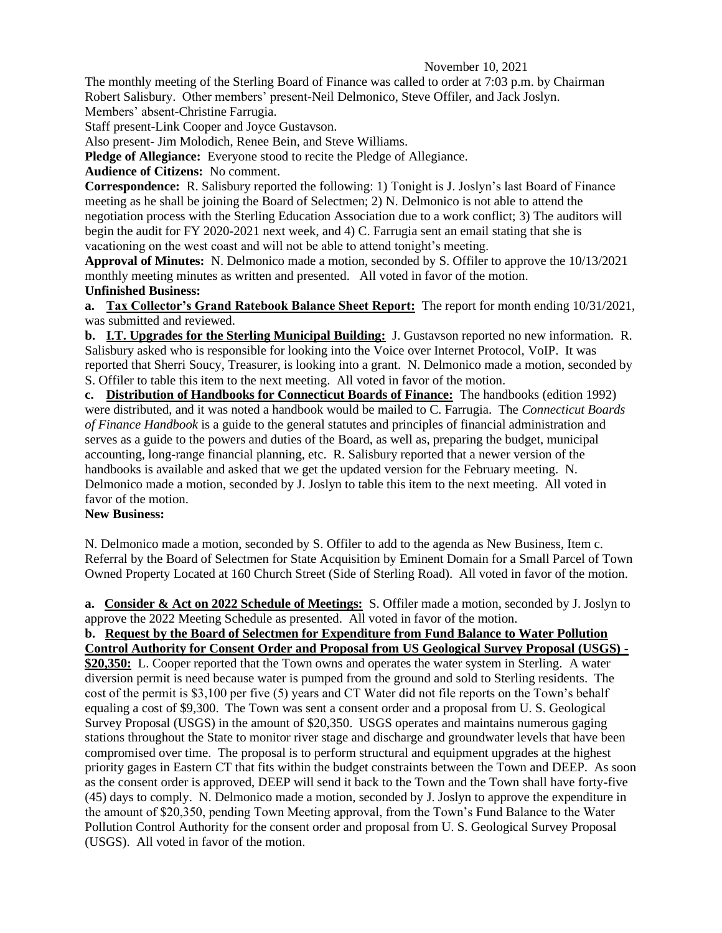## November 10, 2021

The monthly meeting of the Sterling Board of Finance was called to order at 7:03 p.m. by Chairman Robert Salisbury. Other members' present-Neil Delmonico, Steve Offiler, and Jack Joslyn. Members' absent-Christine Farrugia.

Staff present-Link Cooper and Joyce Gustavson.

Also present- Jim Molodich, Renee Bein, and Steve Williams.

**Pledge of Allegiance:** Everyone stood to recite the Pledge of Allegiance.

**Audience of Citizens:** No comment.

**Correspondence:** R. Salisbury reported the following: 1) Tonight is J. Joslyn's last Board of Finance meeting as he shall be joining the Board of Selectmen; 2) N. Delmonico is not able to attend the negotiation process with the Sterling Education Association due to a work conflict; 3) The auditors will begin the audit for FY 2020-2021 next week, and 4) C. Farrugia sent an email stating that she is vacationing on the west coast and will not be able to attend tonight's meeting.

**Approval of Minutes:** N. Delmonico made a motion, seconded by S. Offiler to approve the 10/13/2021 monthly meeting minutes as written and presented. All voted in favor of the motion. **Unfinished Business:**

**a. Tax Collector's Grand Ratebook Balance Sheet Report:** The report for month ending 10/31/2021, was submitted and reviewed.

**b. I.T. Upgrades for the Sterling Municipal Building:** J. Gustavson reported no new information. R. Salisbury asked who is responsible for looking into the Voice over Internet Protocol, VoIP. It was reported that Sherri Soucy, Treasurer, is looking into a grant.N. Delmonico made a motion, seconded by S. Offiler to table this item to the next meeting. All voted in favor of the motion.

**c. Distribution of Handbooks for Connecticut Boards of Finance:** The handbooks (edition 1992) were distributed, and it was noted a handbook would be mailed to C. Farrugia. The *Connecticut Boards of Finance Handbook* is a guide to the general statutes and principles of financial administration and serves as a guide to the powers and duties of the Board, as well as, preparing the budget, municipal accounting, long-range financial planning, etc. R. Salisbury reported that a newer version of the handbooks is available and asked that we get the updated version for the February meeting. N. Delmonico made a motion, seconded by J. Joslyn to table this item to the next meeting. All voted in favor of the motion.

## **New Business:**

N. Delmonico made a motion, seconded by S. Offiler to add to the agenda as New Business, Item c. Referral by the Board of Selectmen for State Acquisition by Eminent Domain for a Small Parcel of Town Owned Property Located at 160 Church Street (Side of Sterling Road). All voted in favor of the motion.

**a. Consider & Act on 2022 Schedule of Meetings:** S. Offiler made a motion, seconded by J. Joslyn to approve the 2022 Meeting Schedule as presented. All voted in favor of the motion.

**b. Request by the Board of Selectmen for Expenditure from Fund Balance to Water Pollution Control Authority for Consent Order and Proposal from US Geological Survey Proposal (USGS) - \$20,350:** L. Cooper reported that the Town owns and operates the water system in Sterling. A water diversion permit is need because water is pumped from the ground and sold to Sterling residents. The cost of the permit is \$3,100 per five (5) years and CT Water did not file reports on the Town's behalf equaling a cost of \$9,300. The Town was sent a consent order and a proposal from U. S. Geological Survey Proposal (USGS) in the amount of \$20,350. USGS operates and maintains numerous gaging stations throughout the State to monitor river stage and discharge and groundwater levels that have been compromised over time. The proposal is to perform structural and equipment upgrades at the highest priority gages in Eastern CT that fits within the budget constraints between the Town and DEEP. As soon as the consent order is approved, DEEP will send it back to the Town and the Town shall have forty-five (45) days to comply. N. Delmonico made a motion, seconded by J. Joslyn to approve the expenditure in the amount of \$20,350, pending Town Meeting approval, from the Town's Fund Balance to the Water Pollution Control Authority for the consent order and proposal from U. S. Geological Survey Proposal (USGS). All voted in favor of the motion.